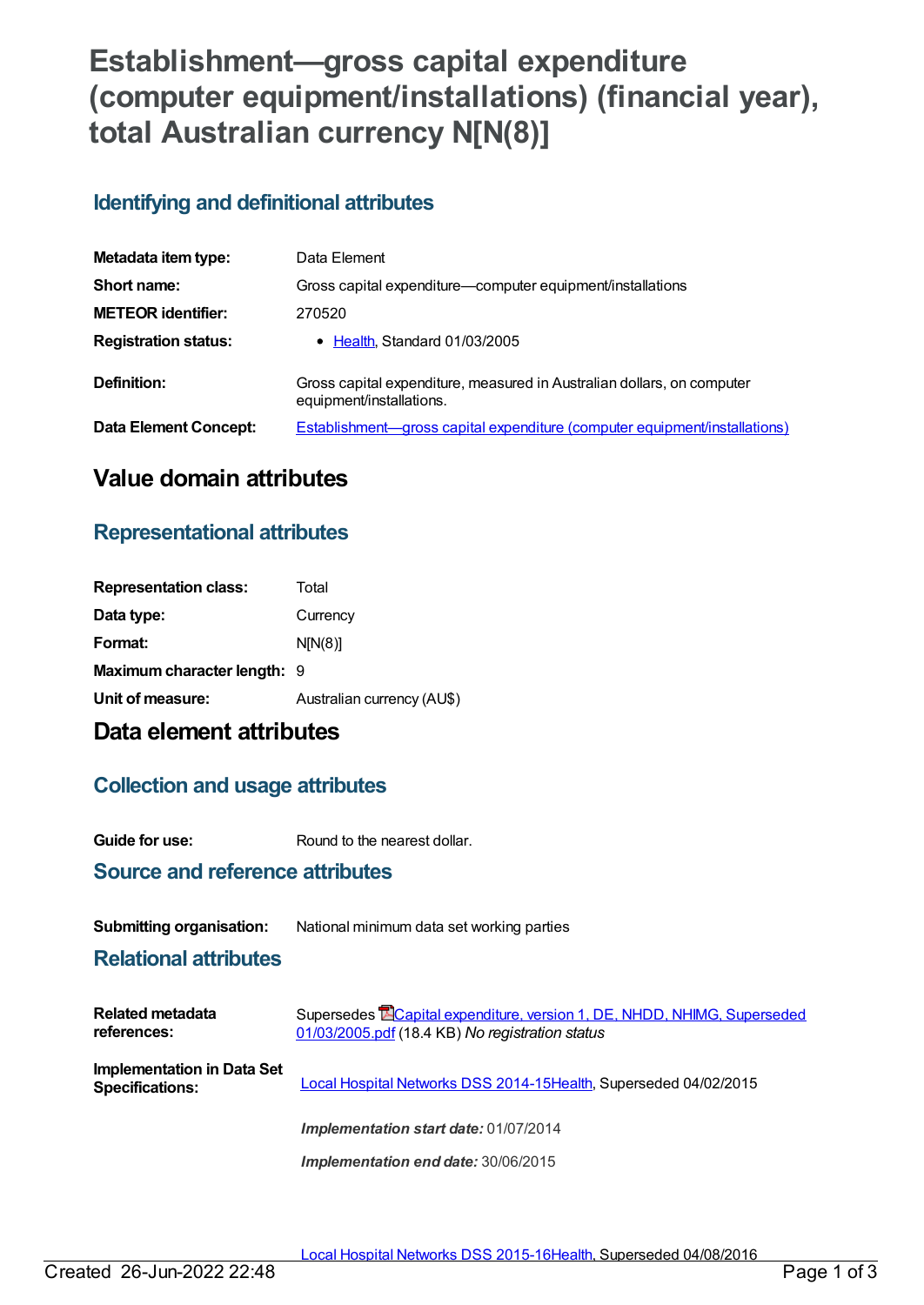# **Establishment—gross capital expenditure (computer equipment/installations) (financial year), total Australian currency N[N(8)]**

## **Identifying and definitional attributes**

| Metadata item type:         | Data Element                                                                                       |
|-----------------------------|----------------------------------------------------------------------------------------------------|
| Short name:                 | Gross capital expenditure—computer equipment/installations                                         |
| <b>METEOR identifier:</b>   | 270520                                                                                             |
| <b>Registration status:</b> | • Health, Standard 01/03/2005                                                                      |
| Definition:                 | Gross capital expenditure, measured in Australian dollars, on computer<br>equipment/installations. |
| Data Element Concept:       | <b>Establishment—gross capital expenditure (computer equipment/installations)</b>                  |

## **Value domain attributes**

## **Representational attributes**

| <b>Representation class:</b> | Total                      |
|------------------------------|----------------------------|
| Data type:                   | Currency                   |
| Format:                      | N[N(8)]                    |
| Maximum character length: 9  |                            |
| Unit of measure:             | Australian currency (AU\$) |

## **Data element attributes**

### **Collection and usage attributes**

**Guide for use:** Round to the nearest dollar.

### **Source and reference attributes**

#### **Submitting organisation:** National minimum data set working parties

### **Relational attributes**

| <b>Related metadata</b><br>references:                      | Supersedes <b>ECapital expenditure, version 1, DE, NHDD, NHIMG, Superseded</b><br>01/03/2005.pdf (18.4 KB) No registration status |
|-------------------------------------------------------------|-----------------------------------------------------------------------------------------------------------------------------------|
| <b>Implementation in Data Set</b><br><b>Specifications:</b> | Local Hospital Networks DSS 2014-15Health, Superseded 04/02/2015                                                                  |
|                                                             | <b>Implementation start date: 01/07/2014</b>                                                                                      |
|                                                             | Implementation end date: 30/06/2015                                                                                               |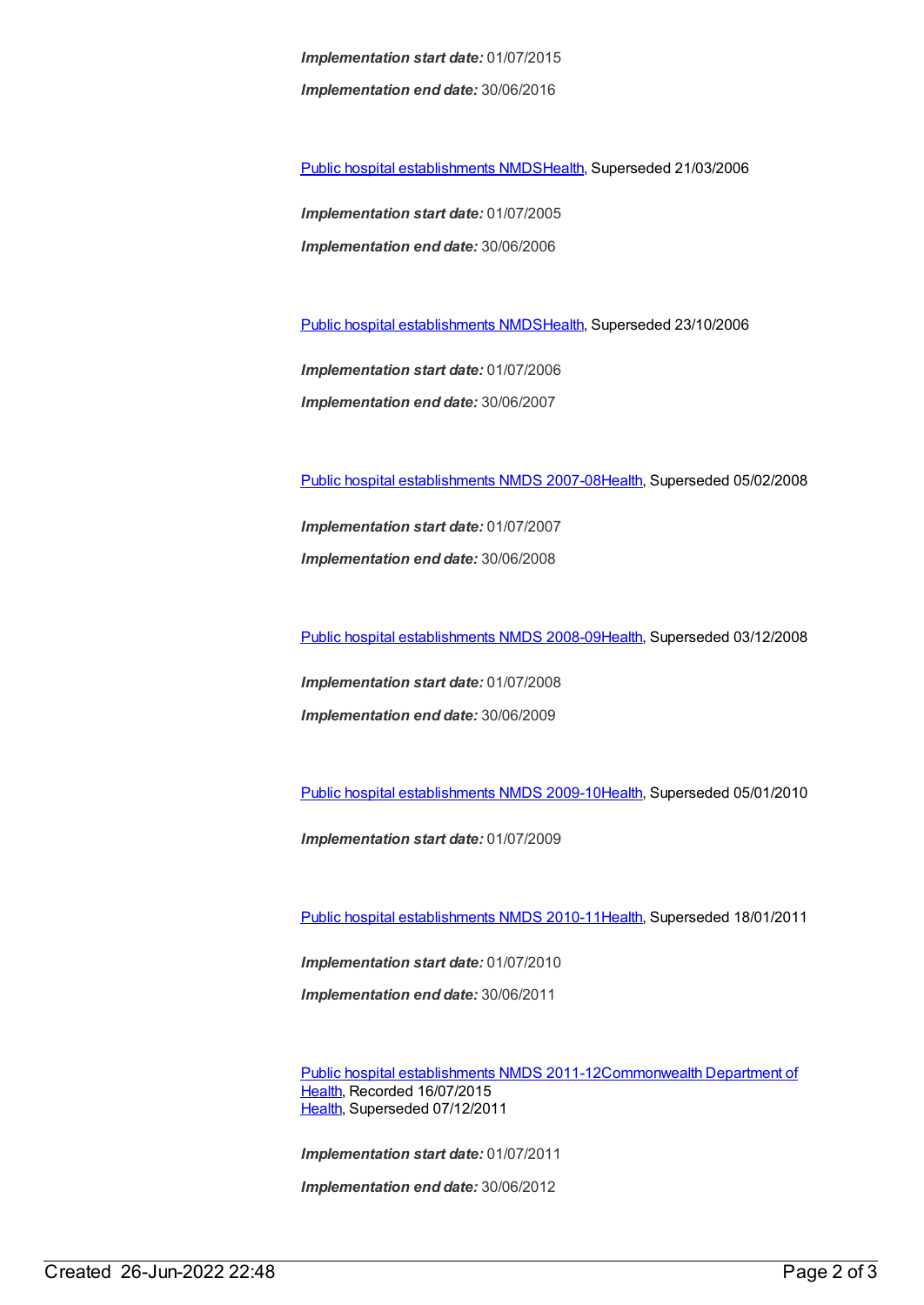*Implementation start date:* 01/07/2015 *Implementation end date:* 30/06/2016

Public hospital [establishments](https://meteor.aihw.gov.au/content/273047) NMDS[Health](https://meteor.aihw.gov.au/RegistrationAuthority/12), Superseded 21/03/2006

*Implementation start date:* 01/07/2005 *Implementation end date:* 30/06/2006

Public hospital [establishments](https://meteor.aihw.gov.au/content/334285) NMDS[Health](https://meteor.aihw.gov.au/RegistrationAuthority/12), Superseded 23/10/2006

*Implementation start date:* 01/07/2006 *Implementation end date:* 30/06/2007

Public hospital [establishments](https://meteor.aihw.gov.au/content/345139) NMDS 2007-08[Health](https://meteor.aihw.gov.au/RegistrationAuthority/12), Superseded 05/02/2008

*Implementation start date:* 01/07/2007 *Implementation end date:* 30/06/2008

Public hospital [establishments](https://meteor.aihw.gov.au/content/362302) NMDS 2008-09[Health](https://meteor.aihw.gov.au/RegistrationAuthority/12), Superseded 03/12/2008

*Implementation start date:* 01/07/2008 *Implementation end date:* 30/06/2009

Public hospital [establishments](https://meteor.aihw.gov.au/content/374924) NMDS 2009-10[Health](https://meteor.aihw.gov.au/RegistrationAuthority/12), Superseded 05/01/2010

*Implementation start date:* 01/07/2009

Public hospital [establishments](https://meteor.aihw.gov.au/content/386794) NMDS 2010-11[Health](https://meteor.aihw.gov.au/RegistrationAuthority/12), Superseded 18/01/2011

*Implementation start date:* 01/07/2010 *Implementation end date:* 30/06/2011

Public hospital [establishments](https://meteor.aihw.gov.au/content/426900) NMDS [2011-12Commonwealth](https://meteor.aihw.gov.au/RegistrationAuthority/10) Department of Health, Recorded 16/07/2015 [Health](https://meteor.aihw.gov.au/RegistrationAuthority/12), Superseded 07/12/2011

*Implementation start date:* 01/07/2011

*Implementation end date:* 30/06/2012